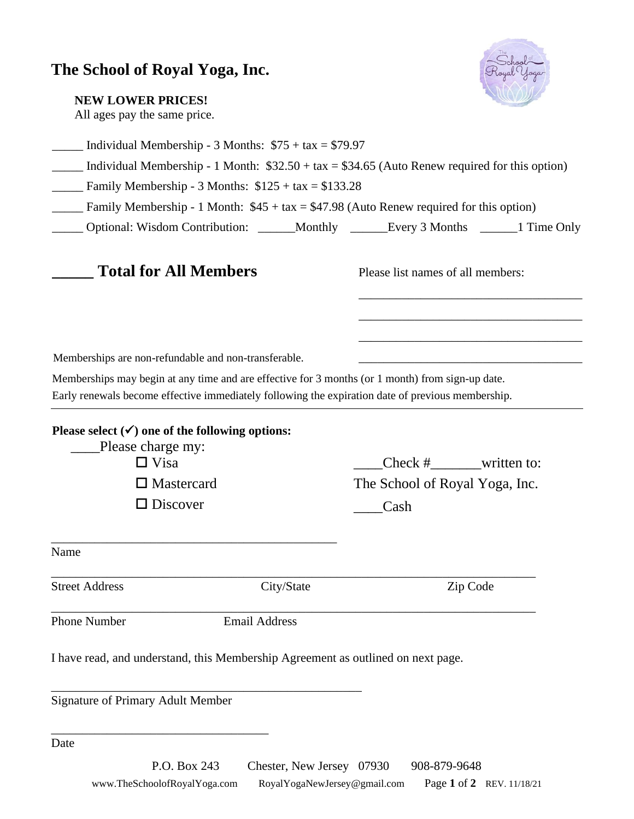## **The School of Royal Yoga, Inc.**



| <b>NEW LOWER PRICES!</b> |  |
|--------------------------|--|
|--------------------------|--|

All ages pay the same price.

|                                                                                 | Individual Membership - 3 Months: $$75 + tax = $79.97$ |                                                                                                   |                                   |  |
|---------------------------------------------------------------------------------|--------------------------------------------------------|---------------------------------------------------------------------------------------------------|-----------------------------------|--|
|                                                                                 |                                                        | Individual Membership - 1 Month: $$32.50 + tax = $34.65$ (Auto Renew required for this option)    |                                   |  |
|                                                                                 | Family Membership - 3 Months: $$125 + tax = $133.28$   |                                                                                                   |                                   |  |
|                                                                                 |                                                        | Family Membership - 1 Month: $$45 + tax = $47.98$ (Auto Renew required for this option)           |                                   |  |
|                                                                                 |                                                        | Optional: Wisdom Contribution: ______Monthly ______Every 3 Months ______1 Time Only               |                                   |  |
| <b>Total for All Members</b>                                                    |                                                        |                                                                                                   | Please list names of all members: |  |
|                                                                                 |                                                        |                                                                                                   |                                   |  |
| Memberships are non-refundable and non-transferable.                            |                                                        |                                                                                                   |                                   |  |
|                                                                                 |                                                        | Memberships may begin at any time and are effective for 3 months (or 1 month) from sign-up date.  |                                   |  |
|                                                                                 |                                                        | Early renewals become effective immediately following the expiration date of previous membership. |                                   |  |
|                                                                                 |                                                        |                                                                                                   |                                   |  |
| Please select $(\checkmark)$ one of the following options:<br>Please charge my: |                                                        |                                                                                                   |                                   |  |
| $\Box$ Visa                                                                     |                                                        |                                                                                                   | Check $#$ written to:             |  |
| $\square$ Mastercard                                                            |                                                        |                                                                                                   | The School of Royal Yoga, Inc.    |  |
| $\Box$ Discover                                                                 |                                                        | Cash                                                                                              |                                   |  |
| Name                                                                            |                                                        |                                                                                                   |                                   |  |
|                                                                                 |                                                        |                                                                                                   |                                   |  |
| <b>Street Address</b>                                                           | City/State                                             |                                                                                                   | Zip Code                          |  |
| <b>Phone Number</b>                                                             | <b>Email Address</b>                                   |                                                                                                   |                                   |  |

I have read, and understand, this Membership Agreement as outlined on next page.

\_\_\_\_\_\_\_\_\_\_\_\_\_\_\_\_\_\_\_\_\_\_\_\_\_\_\_\_\_\_\_\_\_\_\_\_\_\_\_\_\_\_\_\_\_\_\_\_\_\_

Signature of Primary Adult Member

\_\_\_\_\_\_\_\_\_\_\_\_\_\_\_\_\_\_\_\_\_\_\_\_\_\_\_\_\_\_\_\_\_\_\_